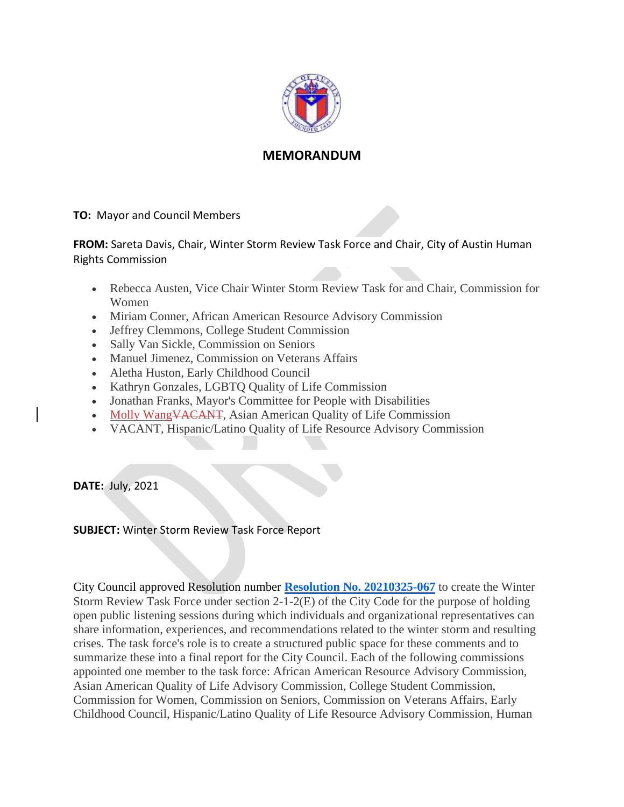

#### **MEMORANDUM**

**TO:** Mayor and Council Members

**FROM:** Sareta Davis, Chair, Winter Storm Review Task Force and Chair, City of Austin Human Rights Commission

- Rebecca Austen, Vice Chair Winter Storm Review Task for and Chair, Commission for Women
- Miriam Conner, African American Resource Advisory Commission
- Jeffrey Clemmons, College Student Commission
- Sally Van Sickle, Commission on Seniors
- Manuel Jimenez, Commission on Veterans Affairs
- Aletha Huston, Early Childhood Council
- Kathryn Gonzales, LGBTQ Quality of Life Commission
- Jonathan Franks, Mayor's Committee for People with Disabilities
- Molly Wang<del>VACANT</del>, Asian American Quality of Life Commission
- VACANT, Hispanic/Latino Quality of Life Resource Advisory Commission

**DATE:** July, 2021

#### **SUBJECT:** Winter Storm Review Task Force Report

City Council approved Resolution number **[Resolution No. 20210325-067](https://www.austintexas.gov/edims/document.cfm?id=357454)** to create the Winter Storm Review Task Force under section 2-1-2(E) of the City Code for the purpose of holding open public listening sessions during which individuals and organizational representatives can share information, experiences, and recommendations related to the winter storm and resulting crises. The task force's role is to create a structured public space for these comments and to summarize these into a final report for the City Council. Each of the following commissions appointed one member to the task force: African American Resource Advisory Commission, Asian American Quality of Life Advisory Commission, College Student Commission, Commission for Women, Commission on Seniors, Commission on Veterans Affairs, Early Childhood Council, Hispanic/Latino Quality of Life Resource Advisory Commission, Human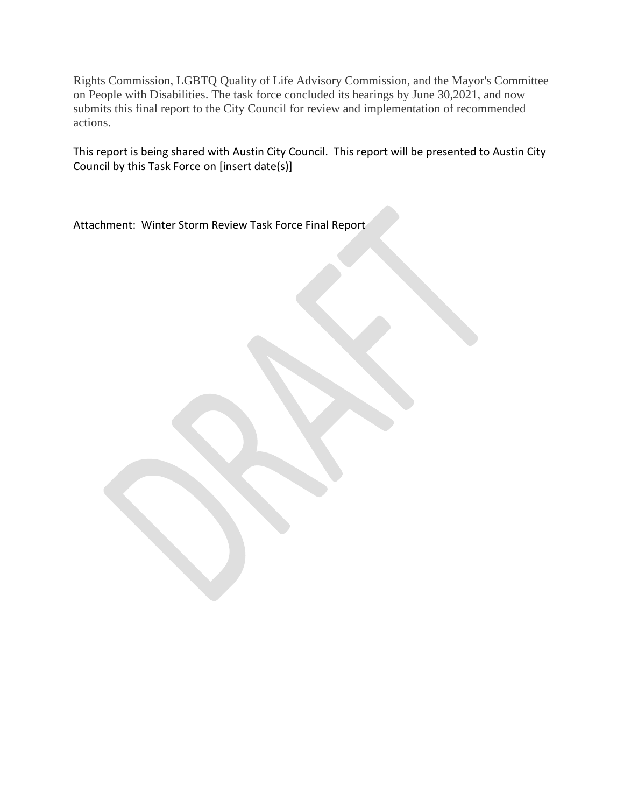Rights Commission, LGBTQ Quality of Life Advisory Commission, and the Mayor's Committee on People with Disabilities. The task force concluded its hearings by June 30,2021, and now submits this final report to the City Council for review and implementation of recommended actions.

This report is being shared with Austin City Council. This report will be presented to Austin City Council by this Task Force on [insert date(s)]

Attachment: Winter Storm Review Task Force Final Report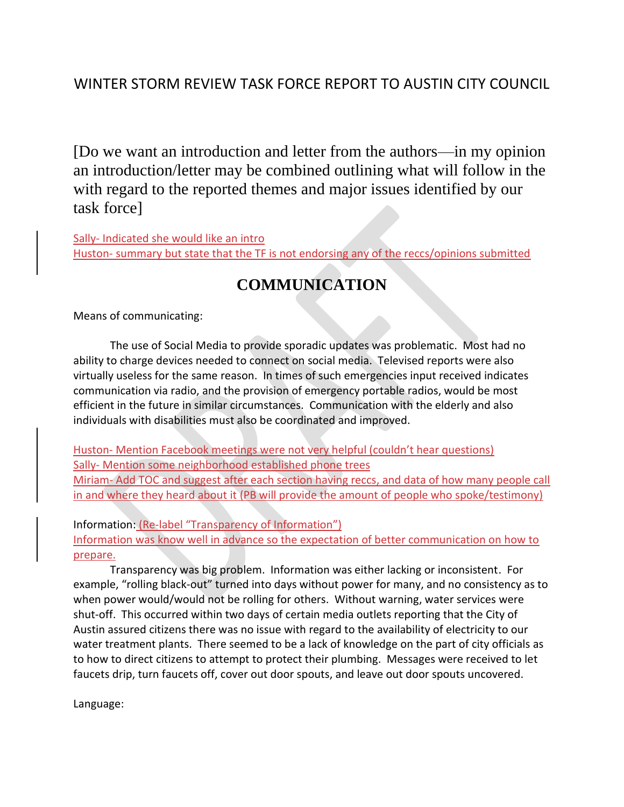### WINTER STORM REVIEW TASK FORCE REPORT TO AUSTIN CITY COUNCIL

[Do we want an introduction and letter from the authors—in my opinion an introduction/letter may be combined outlining what will follow in the with regard to the reported themes and major issues identified by our task force]

Sally- Indicated she would like an intro Huston- summary but state that the TF is not endorsing any of the reccs/opinions submitted

# **COMMUNICATION**

Means of communicating:

The use of Social Media to provide sporadic updates was problematic. Most had no ability to charge devices needed to connect on social media. Televised reports were also virtually useless for the same reason. In times of such emergencies input received indicates communication via radio, and the provision of emergency portable radios, would be most efficient in the future in similar circumstances. Communication with the elderly and also individuals with disabilities must also be coordinated and improved.

Huston- Mention Facebook meetings were not very helpful (couldn't hear questions) Sally- Mention some neighborhood established phone trees Miriam- Add TOC and suggest after each section having reccs, and data of how many people call in and where they heard about it (PB will provide the amount of people who spoke/testimony)

Information: (Re-label "Transparency of Information") Information was know well in advance so the expectation of better communication on how to prepare.

Transparency was big problem. Information was either lacking or inconsistent. For example, "rolling black-out" turned into days without power for many, and no consistency as to when power would/would not be rolling for others. Without warning, water services were shut-off. This occurred within two days of certain media outlets reporting that the City of Austin assured citizens there was no issue with regard to the availability of electricity to our water treatment plants. There seemed to be a lack of knowledge on the part of city officials as to how to direct citizens to attempt to protect their plumbing. Messages were received to let faucets drip, turn faucets off, cover out door spouts, and leave out door spouts uncovered.

Language: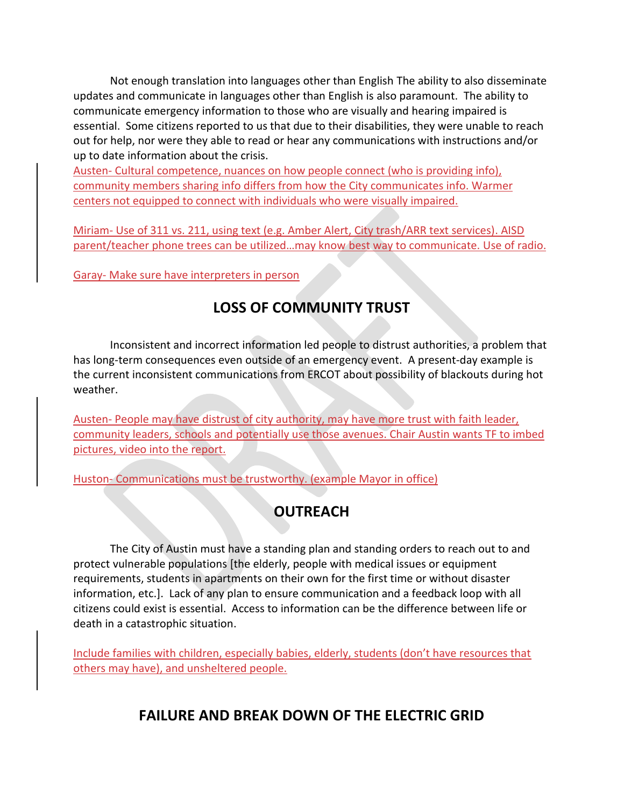Not enough translation into languages other than English The ability to also disseminate updates and communicate in languages other than English is also paramount. The ability to communicate emergency information to those who are visually and hearing impaired is essential. Some citizens reported to us that due to their disabilities, they were unable to reach out for help, nor were they able to read or hear any communications with instructions and/or up to date information about the crisis.

Austen- Cultural competence, nuances on how people connect (who is providing info), community members sharing info differs from how the City communicates info. Warmer centers not equipped to connect with individuals who were visually impaired.

Miriam- Use of 311 vs. 211, using text (e.g. Amber Alert, City trash/ARR text services). AISD parent/teacher phone trees can be utilized…may know best way to communicate. Use of radio.

Garay- Make sure have interpreters in person

# **LOSS OF COMMUNITY TRUST**

Inconsistent and incorrect information led people to distrust authorities, a problem that has long-term consequences even outside of an emergency event. A present-day example is the current inconsistent communications from ERCOT about possibility of blackouts during hot weather.

Austen- People may have distrust of city authority, may have more trust with faith leader, community leaders, schools and potentially use those avenues. Chair Austin wants TF to imbed pictures, video into the report.

Huston- Communications must be trustworthy. (example Mayor in office)

# **OUTREACH**

The City of Austin must have a standing plan and standing orders to reach out to and protect vulnerable populations [the elderly, people with medical issues or equipment requirements, students in apartments on their own for the first time or without disaster information, etc.]. Lack of any plan to ensure communication and a feedback loop with all citizens could exist is essential. Access to information can be the difference between life or death in a catastrophic situation.

Include families with children, especially babies, elderly, students (don't have resources that others may have), and unsheltered people.

## **FAILURE AND BREAK DOWN OF THE ELECTRIC GRID**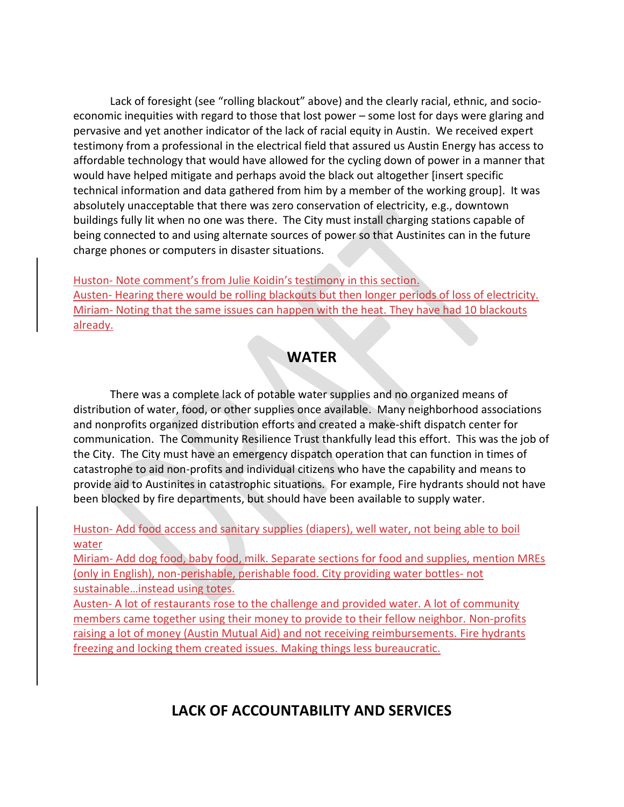Lack of foresight (see "rolling blackout" above) and the clearly racial, ethnic, and socioeconomic inequities with regard to those that lost power – some lost for days were glaring and pervasive and yet another indicator of the lack of racial equity in Austin. We received expert testimony from a professional in the electrical field that assured us Austin Energy has access to affordable technology that would have allowed for the cycling down of power in a manner that would have helped mitigate and perhaps avoid the black out altogether [insert specific technical information and data gathered from him by a member of the working group]. It was absolutely unacceptable that there was zero conservation of electricity, e.g., downtown buildings fully lit when no one was there. The City must install charging stations capable of being connected to and using alternate sources of power so that Austinites can in the future charge phones or computers in disaster situations.

Huston- Note comment's from Julie Koidin's testimony in this section. Austen- Hearing there would be rolling blackouts but then longer periods of loss of electricity. Miriam- Noting that the same issues can happen with the heat. They have had 10 blackouts already.

#### **WATER**

There was a complete lack of potable water supplies and no organized means of distribution of water, food, or other supplies once available. Many neighborhood associations and nonprofits organized distribution efforts and created a make-shift dispatch center for communication. The Community Resilience Trust thankfully lead this effort. This was the job of the City. The City must have an emergency dispatch operation that can function in times of catastrophe to aid non-profits and individual citizens who have the capability and means to provide aid to Austinites in catastrophic situations. For example, Fire hydrants should not have been blocked by fire departments, but should have been available to supply water.

Huston- Add food access and sanitary supplies (diapers), well water, not being able to boil water

Miriam- Add dog food, baby food, milk. Separate sections for food and supplies, mention MREs (only in English), non-perishable, perishable food. City providing water bottles- not sustainable…instead using totes.

Austen- A lot of restaurants rose to the challenge and provided water. A lot of community members came together using their money to provide to their fellow neighbor. Non-profits raising a lot of money (Austin Mutual Aid) and not receiving reimbursements. Fire hydrants freezing and locking them created issues. Making things less bureaucratic.

## **LACK OF ACCOUNTABILITY AND SERVICES**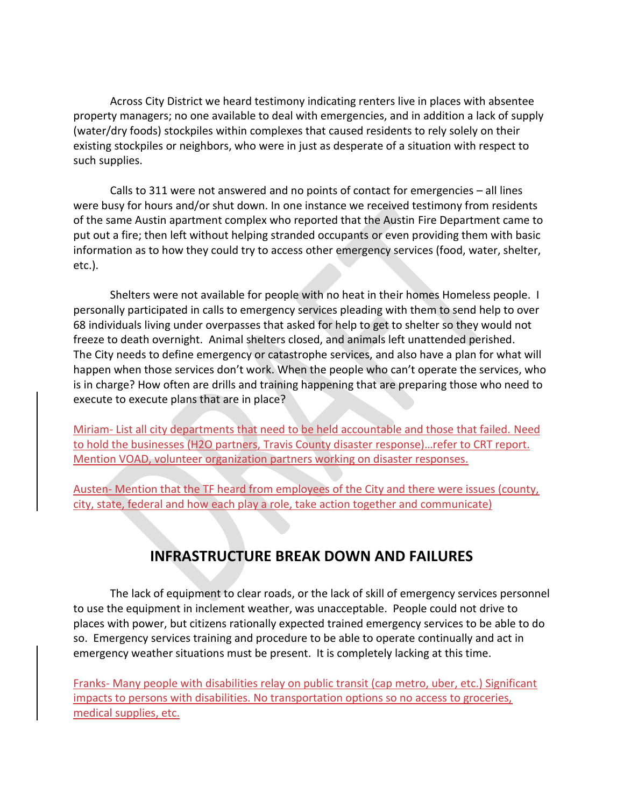Across City District we heard testimony indicating renters live in places with absentee property managers; no one available to deal with emergencies, and in addition a lack of supply (water/dry foods) stockpiles within complexes that caused residents to rely solely on their existing stockpiles or neighbors, who were in just as desperate of a situation with respect to such supplies.

Calls to 311 were not answered and no points of contact for emergencies – all lines were busy for hours and/or shut down. In one instance we received testimony from residents of the same Austin apartment complex who reported that the Austin Fire Department came to put out a fire; then left without helping stranded occupants or even providing them with basic information as to how they could try to access other emergency services (food, water, shelter, etc.).

Shelters were not available for people with no heat in their homes Homeless people. I personally participated in calls to emergency services pleading with them to send help to over 68 individuals living under overpasses that asked for help to get to shelter so they would not freeze to death overnight. Animal shelters closed, and animals left unattended perished. The City needs to define emergency or catastrophe services, and also have a plan for what will happen when those services don't work. When the people who can't operate the services, who is in charge? How often are drills and training happening that are preparing those who need to execute to execute plans that are in place?

Miriam- List all city departments that need to be held accountable and those that failed. Need to hold the businesses (H2O partners, Travis County disaster response)…refer to CRT report. Mention VOAD, volunteer organization partners working on disaster responses.

Austen- Mention that the TF heard from employees of the City and there were issues (county, city, state, federal and how each play a role, take action together and communicate)

## **INFRASTRUCTURE BREAK DOWN AND FAILURES**

The lack of equipment to clear roads, or the lack of skill of emergency services personnel to use the equipment in inclement weather, was unacceptable. People could not drive to places with power, but citizens rationally expected trained emergency services to be able to do so. Emergency services training and procedure to be able to operate continually and act in emergency weather situations must be present. It is completely lacking at this time.

Franks- Many people with disabilities relay on public transit (cap metro, uber, etc.) Significant impacts to persons with disabilities. No transportation options so no access to groceries, medical supplies, etc.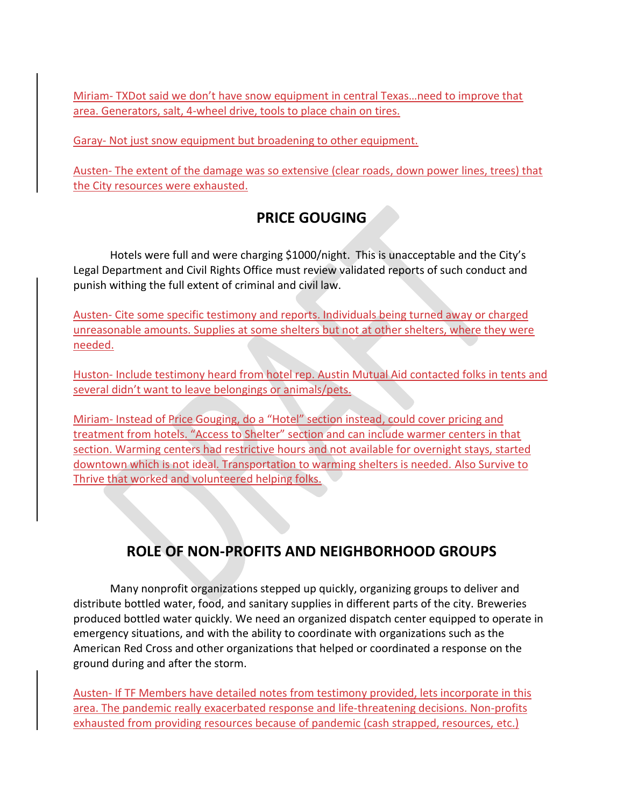Miriam- TXDot said we don't have snow equipment in central Texas…need to improve that area. Generators, salt, 4-wheel drive, tools to place chain on tires.

Garay- Not just snow equipment but broadening to other equipment.

Austen- The extent of the damage was so extensive (clear roads, down power lines, trees) that the City resources were exhausted.

### **PRICE GOUGING**

Hotels were full and were charging \$1000/night. This is unacceptable and the City's Legal Department and Civil Rights Office must review validated reports of such conduct and punish withing the full extent of criminal and civil law.

Austen- Cite some specific testimony and reports. Individuals being turned away or charged unreasonable amounts. Supplies at some shelters but not at other shelters, where they were needed.

Huston- Include testimony heard from hotel rep. Austin Mutual Aid contacted folks in tents and several didn't want to leave belongings or animals/pets.

Miriam- Instead of Price Gouging, do a "Hotel" section instead, could cover pricing and treatment from hotels. "Access to Shelter" section and can include warmer centers in that section. Warming centers had restrictive hours and not available for overnight stays, started downtown which is not ideal. Transportation to warming shelters is needed. Also Survive to Thrive that worked and volunteered helping folks.

# **ROLE OF NON-PROFITS AND NEIGHBORHOOD GROUPS**

Many nonprofit organizations stepped up quickly, organizing groups to deliver and distribute bottled water, food, and sanitary supplies in different parts of the city. Breweries produced bottled water quickly. We need an organized dispatch center equipped to operate in emergency situations, and with the ability to coordinate with organizations such as the American Red Cross and other organizations that helped or coordinated a response on the ground during and after the storm.

Austen- If TF Members have detailed notes from testimony provided, lets incorporate in this area. The pandemic really exacerbated response and life-threatening decisions. Non-profits exhausted from providing resources because of pandemic (cash strapped, resources, etc.)